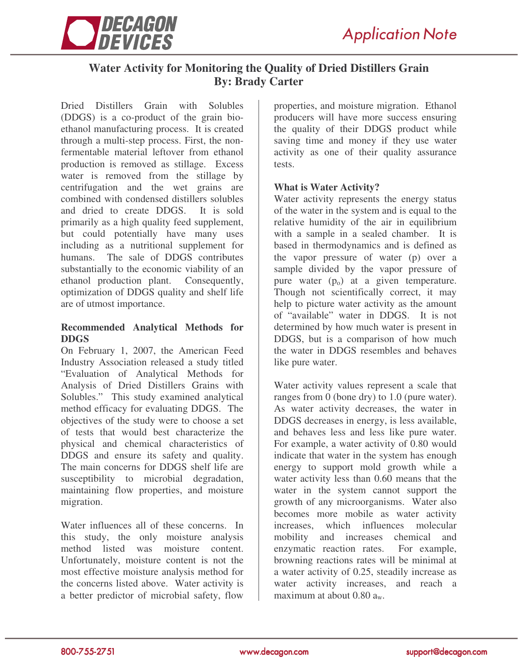

# **Water Activity for Monitoring the Quality of Dried Distillers Grain By: Brady Carter**

Dried Distillers Grain with Solubles (DDGS) is a co-product of the grain bioethanol manufacturing process. It is created through a multi-step process. First, the nonfermentable material leftover from ethanol production is removed as stillage. Excess water is removed from the stillage by centrifugation and the wet grains are combined with condensed distillers solubles and dried to create DDGS. It is sold primarily as a high quality feed supplement, but could potentially have many uses including as a nutritional supplement for humans. The sale of DDGS contributes substantially to the economic viability of an ethanol production plant. Consequently, optimization of DDGS quality and shelf life are of utmost importance.

### **Recommended Analytical Methods for DDGS**

On February 1, 2007, the American Feed Industry Association released a study titled "Evaluation of Analytical Methods for Analysis of Dried Distillers Grains with Solubles." This study examined analytical method efficacy for evaluating DDGS. The objectives of the study were to choose a set of tests that would best characterize the physical and chemical characteristics of DDGS and ensure its safety and quality. The main concerns for DDGS shelf life are susceptibility to microbial degradation, maintaining flow properties, and moisture migration.

Water influences all of these concerns. In this study, the only moisture analysis method listed was moisture content. Unfortunately, moisture content is not the most effective moisture analysis method for the concerns listed above. Water activity is a better predictor of microbial safety, flow

properties, and moisture migration. Ethanol producers will have more success ensuring the quality of their DDGS product while saving time and money if they use water activity as one of their quality assurance tests.

#### **What is Water Activity?**

Water activity represents the energy status of the water in the system and is equal to the relative humidity of the air in equilibrium with a sample in a sealed chamber. It is based in thermodynamics and is defined as the vapor pressure of water (p) over a sample divided by the vapor pressure of pure water  $(p_0)$  at a given temperature. Though not scientifically correct, it may help to picture water activity as the amount of "available" water in DDGS. It is not determined by how much water is present in DDGS, but is a comparison of how much the water in DDGS resembles and behaves like pure water.

Water activity values represent a scale that ranges from 0 (bone dry) to 1.0 (pure water). As water activity decreases, the water in DDGS decreases in energy, is less available, and behaves less and less like pure water. For example, a water activity of 0.80 would indicate that water in the system has enough energy to support mold growth while a water activity less than 0.60 means that the water in the system cannot support the growth of any microorganisms. Water also becomes more mobile as water activity increases, which influences molecular mobility and increases chemical and enzymatic reaction rates. For example, browning reactions rates will be minimal at a water activity of 0.25, steadily increase as water activity increases, and reach a maximum at about  $0.80$   $a_w$ .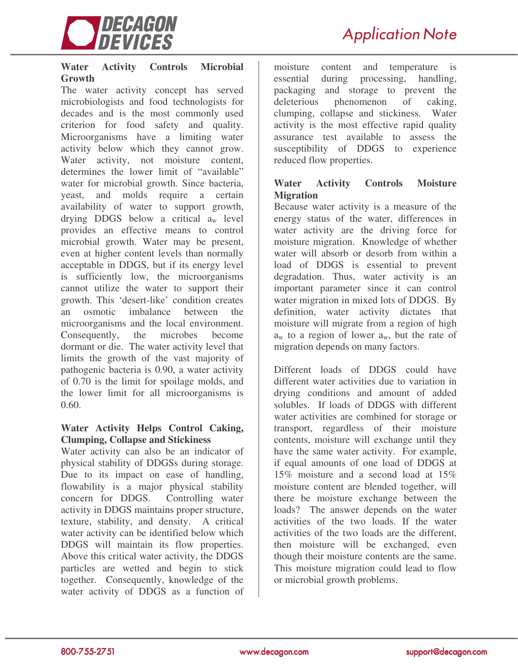

#### **Water Activity Controls Microbial Growth**

The water activity concept has served microbiologists and food technologists for decades and is the most commonly used criterion for food safety and quality. Microorganisms have a limiting water activity below which they cannot grow. Water activity, not moisture content, determines the lower limit of "available" water for microbial growth. Since bacteria, yeast, and molds require a certain availability of water to support growth, drying DDGS below a critical  $a_w$  level provides an effective means to control microbial growth. Water may be present, even at higher content levels than normally acceptable in DDGS, but if its energy level is sufficiently low, the microorganisms cannot utilize the water to support their growth. This 'desert-like' condition creates an osmotic imbalance between the microorganisms and the local environment. Consequently, the microbes become dormant or die. The water activity level that limits the growth of the vast majority of pathogenic bacteria is 0.90, a water activity of 0.70 is the limit for spoilage molds, and the lower limit for all microorganisms is 0.60.

#### **Water Activity Helps Control Caking, Clumping, Collapse and Stickiness**

Water activity can also be an indicator of physical stability of DDGSs during storage. Due to its impact on ease of handling, flowability is a major physical stability concern for DDGS. Controlling water activity in DDGS maintains proper structure, texture, stability, and density. A critical water activity can be identified below which DDGS will maintain its flow properties. Above this critical water activity, the DDGS particles are wetted and begin to stick together. Consequently, knowledge of the water activity of DDGS as a function of

moisture content and temperature is essential during processing, handling, packaging and storage to prevent the deleterious phenomenon of caking, clumping, collapse and stickiness. Water activity is the most effective rapid quality assurance test available to assess the susceptibility of DDGS to experience reduced flow properties.

### **Water Activity Controls Moisture Migration**

Because water activity is a measure of the energy status of the water, differences in water activity are the driving force for moisture migration. Knowledge of whether water will absorb or desorb from within a load of DDGS is essential to prevent degradation. Thus, water activity is an important parameter since it can control water migration in mixed lots of DDGS. By definition, water activity dictates that moisture will migrate from a region of high  $a_w$  to a region of lower  $a_w$ , but the rate of migration depends on many factors.

Different loads of DDGS could have different water activities due to variation in drying conditions and amount of added solubles. If loads of DDGS with different water activities are combined for storage or transport, regardless of their moisture contents, moisture will exchange until they have the same water activity. For example, if equal amounts of one load of DDGS at 15% moisture and a second load at 15% moisture content are blended together, will there be moisture exchange between the loads? The answer depends on the water activities of the two loads. If the water activities of the two loads are the different, then moisture will be exchanged, even though their moisture contents are the same. This moisture migration could lead to flow or microbial growth problems.